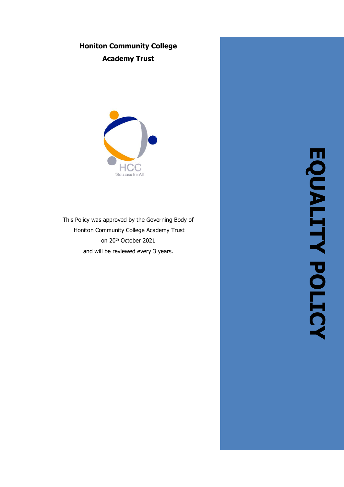# **Honiton Community College Academy Trust**



This Policy was approved by the Governing Body of Honiton Community College Academy Trust on 20th October 2021 and will be reviewed every 3 years .

**EQUALITY POLICY EQUALITY POLICY**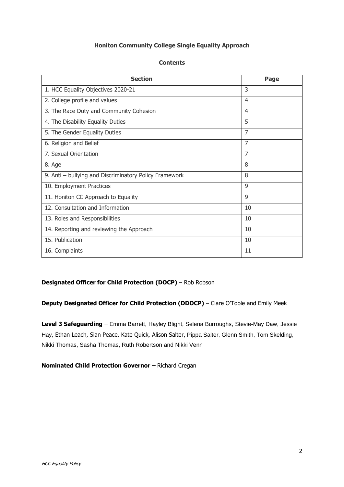## **Honiton Community College Single Equality Approach**

| <b>Section</b>                                         | Page           |
|--------------------------------------------------------|----------------|
| 1. HCC Equality Objectives 2020-21                     | 3              |
| 2. College profile and values                          | $\overline{4}$ |
| 3. The Race Duty and Community Cohesion                | $\overline{4}$ |
| 4. The Disability Equality Duties                      | 5              |
| 5. The Gender Equality Duties                          | 7              |
| 6. Religion and Belief                                 | $\overline{7}$ |
| 7. Sexual Orientation                                  | $\overline{7}$ |
| 8. Age                                                 | 8              |
| 9. Anti - bullying and Discriminatory Policy Framework | 8              |
| 10. Employment Practices                               | 9              |
| 11. Honiton CC Approach to Equality                    | 9              |
| 12. Consultation and Information                       | 10             |
| 13. Roles and Responsibilities                         | 10             |
| 14. Reporting and reviewing the Approach               | 10             |
| 15. Publication                                        | 10             |
| 16. Complaints                                         | 11             |

## **Contents**

# **Designated Officer for Child Protection (DOCP)** – Rob Robson

**Deputy Designated Officer for Child Protection (DDOCP)** – Clare O'Toole and Emily Meek

**Level 3 Safeguarding** – Emma Barrett, Hayley Blight, Selena Burroughs, Stevie-May Daw, Jessie Hay, Ethan Leach, Sian Peace, Kate Quick, Alison Salter, Pippa Salter, Glenn Smith, Tom Skelding, Nikki Thomas, Sasha Thomas, Ruth Robertson and Nikki Venn

## **Nominated Child Protection Governor –** Richard Cregan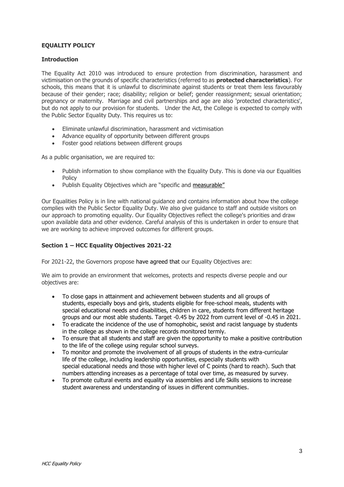## **EQUALITY POLICY**

## **Introduction**

The Equality Act 2010 was introduced to ensure protection from discrimination, harassment and victimisation on the grounds of specific characteristics (referred to as **protected characteristics**). For schools, this means that it is unlawful to discriminate against students or treat them less favourably because of their gender; race; disability; religion or belief; gender reassignment; sexual orientation; pregnancy or maternity. Marriage and civil partnerships and age are also 'protected characteristics', but do not apply to our provision for students. Under the Act, the College is expected to comply with the Public Sector Equality Duty. This requires us to:

- Eliminate unlawful discrimination, harassment and victimisation
- Advance equality of opportunity between different groups
- Foster good relations between different groups

As a public organisation, we are required to:

- Publish information to show compliance with the Equality Duty. This is done via our Equalities **Policy**
- Publish Equality Objectives which are "specific and measurable"

Our Equalities Policy is in line with national guidance and contains information about how the college complies with the Public Sector Equality Duty. We also give guidance to staff and outside visitors on our approach to promoting equality. Our Equality Objectives reflect the college's priorities and draw upon available data and other evidence. Careful analysis of this is undertaken in order to ensure that we are working to achieve improved outcomes for different groups.

## **Section 1 – HCC Equality Objectives 2021-22**

For 2021-22, the Governors propose have agreed that our Equality Objectives are:

We aim to provide an environment that welcomes, protects and respects diverse people and our objectives are:

- To close gaps in attainment and achievement between students and all groups of students, especially boys and girls, students eligible for free-school meals, students with special educational needs and disabilities, children in care, students from different heritage groups and our most able students. Target -0.45 by 2022 from current level of -0.45 in 2021.
- To eradicate the incidence of the use of homophobic, sexist and racist language by students in the college as shown in the college records monitored termly.
- To ensure that all students and staff are given the opportunity to make a positive contribution to the life of the college using regular school surveys.
- To monitor and promote the involvement of all groups of students in the extra-curricular life of the college, including leadership opportunities, especially students with special educational needs and those with higher level of C points (hard to reach). Such that numbers attending increases as a percentage of total over time, as measured by survey.
- To promote cultural events and equality via assemblies and Life Skills sessions to increase student awareness and understanding of issues in different communities.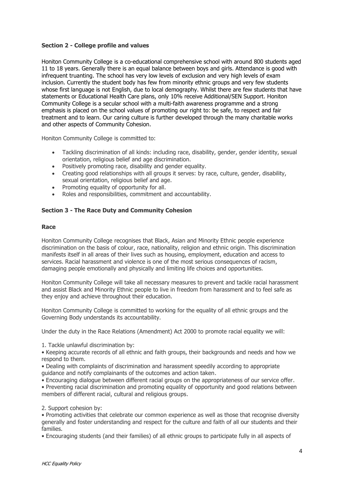## **Section 2 - College profile and values**

Honiton Community College is a co-educational comprehensive school with around 800 students aged 11 to 18 years. Generally there is an equal balance between boys and girls. Attendance is good with infrequent truanting. The school has very low levels of exclusion and very high levels of exam inclusion. Currently the student body has few from minority ethnic groups and very few students whose first language is not English, due to local demography. Whilst there are few students that have statements or Educational Health Care plans, only 10% receive Additional/SEN Support. Honiton Community College is a secular school with a multi-faith awareness programme and a strong emphasis is placed on the school values of promoting our right to: be safe, to respect and fair treatment and to learn. Our caring culture is further developed through the many charitable works and other aspects of Community Cohesion.

Honiton Community College is committed to:

- Tackling discrimination of all kinds: including race, disability, gender, gender identity, sexual orientation, religious belief and age discrimination.
- Positively promoting race, disability and gender equality.
- Creating good relationships with all groups it serves: by race, culture, gender, disability, sexual orientation, religious belief and age.
- Promoting equality of opportunity for all.
- Roles and responsibilities, commitment and accountability.

## **Section 3 - The Race Duty and Community Cohesion**

#### **Race**

Honiton Community College recognises that Black, Asian and Minority Ethnic people experience discrimination on the basis of colour, race, nationality, religion and ethnic origin. This discrimination manifests itself in all areas of their lives such as housing, employment, education and access to services. Racial harassment and violence is one of the most serious consequences of racism, damaging people emotionally and physically and limiting life choices and opportunities.

Honiton Community College will take all necessary measures to prevent and tackle racial harassment and assist Black and Minority Ethnic people to live in freedom from harassment and to feel safe as they enjoy and achieve throughout their education.

Honiton Community College is committed to working for the equality of all ethnic groups and the Governing Body understands its accountability.

Under the duty in the Race Relations (Amendment) Act 2000 to promote racial equality we will:

1. Tackle unlawful discrimination by:

• Keeping accurate records of all ethnic and faith groups, their backgrounds and needs and how we respond to them.

• Dealing with complaints of discrimination and harassment speedily according to appropriate guidance and notify complainants of the outcomes and action taken.

• Encouraging dialogue between different racial groups on the appropriateness of our service offer.

• Preventing racial discrimination and promoting equality of opportunity and good relations between members of different racial, cultural and religious groups.

2. Support cohesion by:

• Promoting activities that celebrate our common experience as well as those that recognise diversity generally and foster understanding and respect for the culture and faith of all our students and their families.

• Encouraging students (and their families) of all ethnic groups to participate fully in all aspects of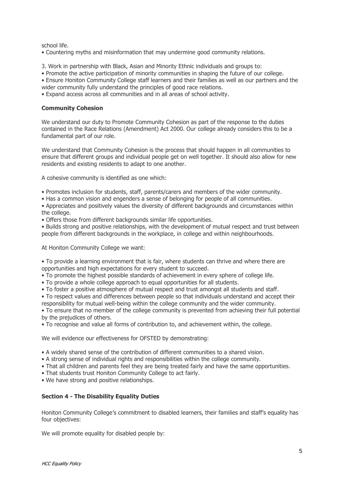school life.

- Countering myths and misinformation that may undermine good community relations.
- 3. Work in partnership with Black, Asian and Minority Ethnic individuals and groups to:

• Promote the active participation of minority communities in shaping the future of our college.

• Ensure Honiton Community College staff learners and their families as well as our partners and the wider community fully understand the principles of good race relations.

• Expand access across all communities and in all areas of school activity.

## **Community Cohesion**

We understand our duty to Promote Community Cohesion as part of the response to the duties contained in the Race Relations (Amendment) Act 2000. Our college already considers this to be a fundamental part of our role.

We understand that Community Cohesion is the process that should happen in all communities to ensure that different groups and individual people get on well together. It should also allow for new residents and existing residents to adapt to one another.

A cohesive community is identified as one which:

- Promotes inclusion for students, staff, parents/carers and members of the wider community.
- Has a common vision and engenders a sense of belonging for people of all communities.
- Appreciates and positively values the diversity of different backgrounds and circumstances within the college.
- Offers those from different backgrounds similar life opportunities.

• Builds strong and positive relationships, with the development of mutual respect and trust between people from different backgrounds in the workplace, in college and within neighbourhoods.

At Honiton Community College we want:

• To provide a learning environment that is fair, where students can thrive and where there are opportunities and high expectations for every student to succeed.

- To promote the highest possible standards of achievement in every sphere of college life.
- To provide a whole college approach to equal opportunities for all students.
- To foster a positive atmosphere of mutual respect and trust amongst all students and staff.
- To respect values and differences between people so that individuals understand and accept their responsibility for mutual well-being within the college community and the wider community.

• To ensure that no member of the college community is prevented from achieving their full potential by the prejudices of others.

• To recognise and value all forms of contribution to, and achievement within, the college.

We will evidence our effectiveness for OFSTED by demonstrating:

- A widely shared sense of the contribution of different communities to a shared vision.
- A strong sense of individual rights and responsibilities within the college community.
- That all children and parents feel they are being treated fairly and have the same opportunities.
- That students trust Honiton Community College to act fairly.
- We have strong and positive relationships.

## **Section 4 - The Disability Equality Duties**

Honiton Community College's commitment to disabled learners, their families and staff's equality has four objectives:

We will promote equality for disabled people by: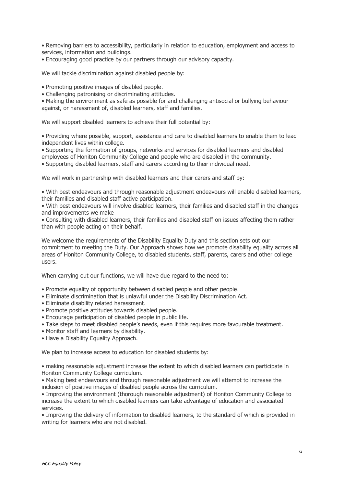• Removing barriers to accessibility, particularly in relation to education, employment and access to services, information and buildings.

• Encouraging good practice by our partners through our advisory capacity.

We will tackle discrimination against disabled people by:

• Promoting positive images of disabled people.

• Challenging patronising or discriminating attitudes.

• Making the environment as safe as possible for and challenging antisocial or bullying behaviour against, or harassment of, disabled learners, staff and families.

We will support disabled learners to achieve their full potential by:

• Providing where possible, support, assistance and care to disabled learners to enable them to lead independent lives within college.

• Supporting the formation of groups, networks and services for disabled learners and disabled employees of Honiton Community College and people who are disabled in the community.

• Supporting disabled learners, staff and carers according to their individual need.

We will work in partnership with disabled learners and their carers and staff by:

• With best endeavours and through reasonable adjustment endeavours will enable disabled learners, their families and disabled staff active participation.

• With best endeavours will involve disabled learners, their families and disabled staff in the changes and improvements we make

• Consulting with disabled learners, their families and disabled staff on issues affecting them rather than with people acting on their behalf.

We welcome the requirements of the Disability Equality Duty and this section sets out our commitment to meeting the Duty. Our Approach shows how we promote disability equality across all areas of Honiton Community College, to disabled students, staff, parents, carers and other college users.

When carrying out our functions, we will have due regard to the need to:

- Promote equality of opportunity between disabled people and other people.
- Eliminate discrimination that is unlawful under the Disability Discrimination Act.
- Eliminate disability related harassment.
- Promote positive attitudes towards disabled people.
- Encourage participation of disabled people in public life.
- Take steps to meet disabled people's needs, even if this requires more favourable treatment.
- Monitor staff and learners by disability.
- Have a Disability Equality Approach.

We plan to increase access to education for disabled students by:

• making reasonable adjustment increase the extent to which disabled learners can participate in Honiton Community College curriculum.

• Making best endeavours and through reasonable adjustment we will attempt to increase the inclusion of positive images of disabled people across the curriculum.

• Improving the environment (thorough reasonable adjustment) of Honiton Community College to increase the extent to which disabled learners can take advantage of education and associated services.

• Improving the delivery of information to disabled learners, to the standard of which is provided in writing for learners who are not disabled.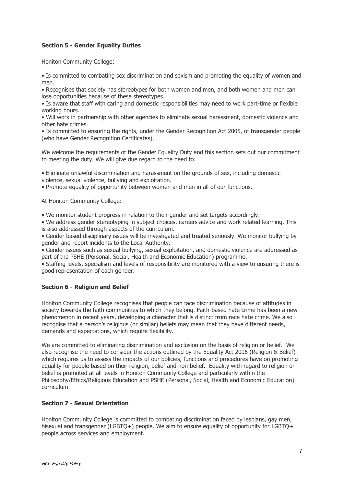# **Section 5 - Gender Equality Duties**

Honiton Community College:

• Is committed to combating sex discrimination and sexism and promoting the equality of women and men.

• Recognises that society has stereotypes for both women and men, and both women and men can lose opportunities because of these stereotypes.

• Is aware that staff with caring and domestic responsibilities may need to work part-time or flexible working hours.

• Will work in partnership with other agencies to eliminate sexual harassment, domestic violence and other hate crimes.

• Is committed to ensuring the rights, under the Gender Recognition Act 2005, of transgender people (who have Gender Recognition Certificates).

We welcome the requirements of the Gender Equality Duty and this section sets out our commitment to meeting the duty. We will give due regard to the need to:

• Eliminate unlawful discrimination and harassment on the grounds of sex, including domestic violence, sexual violence, bullying and exploitation.

• Promote equality of opportunity between women and men in all of our functions.

At Honiton Community College:

• We monitor student progress in relation to their gender and set targets accordingly.

• We address gender stereotyping in subject choices, careers advice and work related learning. This is also addressed through aspects of the curriculum.

• Gender based disciplinary issues will be investigated and treated seriously. We monitor bullying by gender and report incidents to the Local Authority.

• Gender issues such as sexual bullying, sexual exploitation, and domestic violence are addressed as part of the PSHE (Personal, Social, Health and Economic Education) programme.

• Staffing levels, specialism and levels of responsibility are monitored with a view to ensuring there is good representation of each gender.

## **Section 6 - Religion and Belief**

Honiton Community College recognises that people can face discrimination because of attitudes in society towards the faith communities to which they belong. Faith-based hate crime has been a new phenomenon in recent years, developing a character that is distinct from race hate crime. We also recognise that a person's religious (or similar) beliefs may mean that they have different needs, demands and expectations, which require flexibility.

We are committed to eliminating discrimination and exclusion on the basis of religion or belief. We also recognise the need to consider the actions outlined by the Equality Act 2006 (Religion & Belief) which requires us to assess the impacts of our policies, functions and procedures have on promoting equality for people based on their religion, belief and non-belief. Equality with regard to religion or belief is promoted at all levels in Honiton Community College and particularly within the Philosophy/Ethics/Religious Education and PSHE (Personal, Social, Health and Economic Education) curriculum.

## **Section 7 - Sexual Orientation**

Honiton Community College is committed to combating discrimination faced by lesbians, gay men, bisexual and transgender (LGBTQ+) people. We aim to ensure equality of opportunity for LGBTQ+ people across services and employment.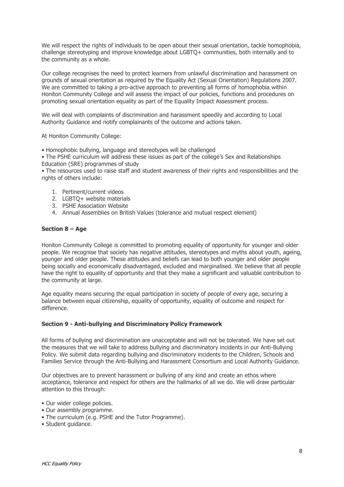We will respect the rights of individuals to be open about their sexual orientation, tackle homophobia, challenge stereotyping and improve knowledge about LGBTQ+ communities, both internally and to the community as a whole.

Our college recognises the need to protect learners from unlawful discrimination and harassment on grounds of sexual orientation as required by the Equality Act (Sexual Orientation) Regulations 2007. We are committed to taking a pro-active approach to preventing all forms of homophobia within Honiton Community College and will assess the impact of our policies, functions and procedures on promoting sexual orientation equality as part of the Equality Impact Assessment process.

We will deal with complaints of discrimination and harassment speedily and according to Local Authority Guidance and notify complainants of the outcome and actions taken.

At Honiton Community College:

• Homophobic bullying, language and stereotypes will be challenged

• The PSHE curriculum will address these issues as part of the college's Sex and Relationships Education (SRE) programmes of study

• The resources used to raise staff and student awareness of their rights and responsibilities and the rights of others include:

- 1. Pertinent/current videos
- 2. LGBTQ+ website materials
- 3. PSHE Association Website
- 4. Annual Assemblies on British Values (tolerance and mutual respect element)

#### **Section 8 – Age**

Honiton Community College is committed to promoting equality of opportunity for younger and older people. We recognise that society has negative attitudes, stereotypes and myths about youth, ageing, younger and older people. These attitudes and beliefs can lead to both younger and older people being socially and economically disadvantaged, excluded and marginalised. We believe that all people have the right to equality of opportunity and that they make a significant and valuable contribution to the community at large.

Age equality means securing the equal participation in society of people of every age, securing a balance between equal citizenship, equality of opportunity, equality of outcome and respect for difference.

#### **Section 9 - Anti-bullying and Discriminatory Policy Framework**

All forms of bullying and discrimination are unacceptable and will not be tolerated. We have set out the measures that we will take to address bullying and discriminatory incidents in our Anti-Bullying Policy. We submit data regarding bullying and discriminatory incidents to the Children, Schools and Families Service through the Anti-Bullying and Harassment Consortium and Local Authority Guidance.

Our objectives are to prevent harassment or bullying of any kind and create an ethos where acceptance, tolerance and respect for others are the hallmarks of all we do. We will draw particular attention to this through:

- Our wider college policies.
- Our assembly programme.
- The curriculum (e.g. PSHE and the Tutor Programme).
- Student guidance.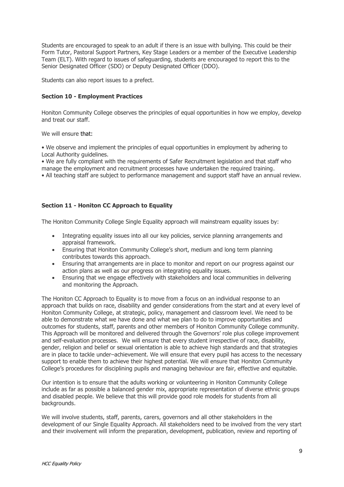Students are encouraged to speak to an adult if there is an issue with bullying. This could be their Form Tutor, Pastoral Support Partners, Key Stage Leaders or a member of the Executive Leadership Team (ELT). With regard to issues of safeguarding, students are encouraged to report this to the Senior Designated Officer (SDO) or Deputy Designated Officer (DDO).

Students can also report issues to a prefect.

## **Section 10 - Employment Practices**

Honiton Community College observes the principles of equal opportunities in how we employ, develop and treat our staff.

We will ensure that:

• We observe and implement the principles of equal opportunities in employment by adhering to Local Authority guidelines.

• We are fully compliant with the requirements of Safer Recruitment legislation and that staff who manage the employment and recruitment processes have undertaken the required training.

• All teaching staff are subject to performance management and support staff have an annual review.

## **Section 11 - Honiton CC Approach to Equality**

The Honiton Community College Single Equality approach will mainstream equality issues by:

- Integrating equality issues into all our key policies, service planning arrangements and appraisal framework.
- Ensuring that Honiton Community College's short, medium and long term planning contributes towards this approach.
- Ensuring that arrangements are in place to monitor and report on our progress against our action plans as well as our progress on integrating equality issues.
- Ensuring that we engage effectively with stakeholders and local communities in delivering and monitoring the Approach.

The Honiton CC Approach to Equality is to move from a focus on an individual response to an approach that builds on race, disability and gender considerations from the start and at every level of Honiton Community College, at strategic, policy, management and classroom level. We need to be able to demonstrate what we have done and what we plan to do to improve opportunities and outcomes for students, staff, parents and other members of Honiton Community College community. This Approach will be monitored and delivered through the Governors' role plus college improvement and self-evaluation processes. We will ensure that every student irrespective of race, disability, gender, religion and belief or sexual orientation is able to achieve high standards and that strategies are in place to tackle under–achievement. We will ensure that every pupil has access to the necessary support to enable them to achieve their highest potential. We will ensure that Honiton Community College's procedures for disciplining pupils and managing behaviour are fair, effective and equitable.

Our intention is to ensure that the adults working or volunteering in Honiton Community College include as far as possible a balanced gender mix, appropriate representation of diverse ethnic groups and disabled people. We believe that this will provide good role models for students from all backgrounds.

We will involve students, staff, parents, carers, governors and all other stakeholders in the development of our Single Equality Approach. All stakeholders need to be involved from the very start and their involvement will inform the preparation, development, publication, review and reporting of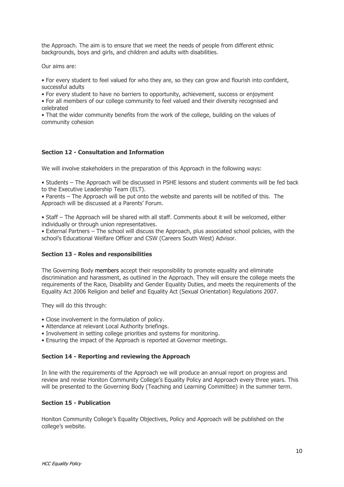the Approach. The aim is to ensure that we meet the needs of people from different ethnic backgrounds, boys and girls, and children and adults with disabilities.

Our aims are:

• For every student to feel valued for who they are, so they can grow and flourish into confident, successful adults

• For every student to have no barriers to opportunity, achievement, success or enjoyment

• For all members of our college community to feel valued and their diversity recognised and celebrated

• That the wider community benefits from the work of the college, building on the values of community cohesion

## **Section 12 - Consultation and Information**

We will involve stakeholders in the preparation of this Approach in the following ways:

• Students – The Approach will be discussed in PSHE lessons and student comments will be fed back to the Executive Leadership Team (ELT).

• Parents – The Approach will be put onto the website and parents will be notified of this. The Approach will be discussed at a Parents' Forum.

• Staff – The Approach will be shared with all staff. Comments about it will be welcomed, either individually or through union representatives.

• External Partners – The school will discuss the Approach, plus associated school policies, with the school's Educational Welfare Officer and CSW (Careers South West) Advisor.

## **Section 13 - Roles and responsibilities**

The Governing Body members accept their responsibility to promote equality and eliminate discrimination and harassment, as outlined in the Approach. They will ensure the college meets the requirements of the Race, Disability and Gender Equality Duties, and meets the requirements of the Equality Act 2006 Religion and belief and Equality Act (Sexual Orientation) Regulations 2007.

They will do this through:

- Close involvement in the formulation of policy.
- Attendance at relevant Local Authority briefings.
- Involvement in setting college priorities and systems for monitoring.
- Ensuring the impact of the Approach is reported at Governor meetings.

## **Section 14 - Reporting and reviewing the Approach**

In line with the requirements of the Approach we will produce an annual report on progress and review and revise Honiton Community College's Equality Policy and Approach every three years. This will be presented to the Governing Body (Teaching and Learning Committee) in the summer term.

## **Section 15 - Publication**

Honiton Community College's Equality Objectives, Policy and Approach will be published on the college's website.